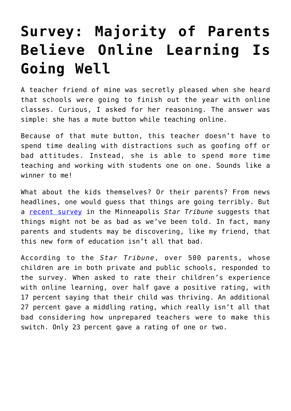## **[Survey: Majority of Parents](https://intellectualtakeout.org/2020/05/survey-majority-of-parents-believe-online-learning-is-going-well/) [Believe Online Learning Is](https://intellectualtakeout.org/2020/05/survey-majority-of-parents-believe-online-learning-is-going-well/) [Going Well](https://intellectualtakeout.org/2020/05/survey-majority-of-parents-believe-online-learning-is-going-well/)**

A teacher friend of mine was secretly pleased when she heard that schools were going to finish out the year with online classes. Curious, I asked for her reasoning. The answer was simple: she has a mute button while teaching online.

Because of that mute button, this teacher doesn't have to spend time dealing with distractions such as goofing off or bad attitudes. Instead, she is able to spend more time teaching and working with students one on one. Sounds like a winner to me!

What about the kids themselves? Or their parents? From news headlines, one would guess that things are going terribly. But a [recent survey](https://www.startribune.com/minnesota-parents-tell-us-what-they-really-think-of-online-distance-learning-kids-school-survey/569930961/?refresh=true) in the Minneapolis *Star Tribune* suggests that things might not be as bad as we've been told. In fact, many parents and students may be discovering, like my friend, that this new form of education isn't all that bad.

According to the *Star Tribune*, over 500 parents, whose children are in both private and public schools, responded to the survey. When asked to rate their children's experience with online learning, over half gave a positive rating, with 17 percent saying that their child was thriving. An additional 27 percent gave a middling rating, which really isn't all that bad considering how unprepared teachers were to make this switch. Only 23 percent gave a rating of one or two.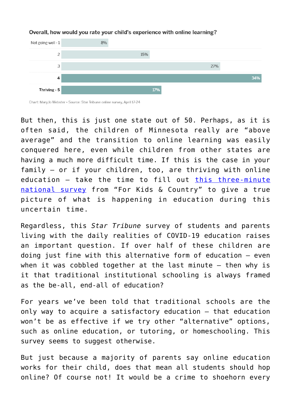

## Overall, how would you rate your child's experience with online learning?

But then, this is just one state out of 50. Perhaps, as it is often said, the children of Minnesota really are "above average" and the transition to online learning was easily conquered here, even while children from other states are having a much more difficult time. If this is the case in your family – or if your children, too, are thriving with online education – take the time to fill out [this three-minute](https://docs.google.com/forms/d/e/1FAIpQLSdrtAgugWnJc4mGcrvIm42EJ8-cVPzyKqhtRRFmj4cLAoEvew/viewform) [national survey](https://docs.google.com/forms/d/e/1FAIpQLSdrtAgugWnJc4mGcrvIm42EJ8-cVPzyKqhtRRFmj4cLAoEvew/viewform) from "For Kids & Country" to give a true picture of what is happening in education during this uncertain time.

Regardless, this *Star Tribune* survey of students and parents living with the daily realities of COVID-19 education raises an important question. If over half of these children are doing just fine with this alternative form of education – even when it was cobbled together at the last minute – then why is it that traditional institutional schooling is always framed as the be-all, end-all of education?

For years we've been told that traditional schools are the only way to acquire a satisfactory education – that education won't be as effective if we try other "alternative" options, such as online education, or tutoring, or homeschooling. This survey seems to suggest otherwise.

But just because a majority of parents say online education works for their child, does that mean all students should hop online? Of course not! It would be a crime to shoehorn every

Chart: Mary Jo Webster • Source: Star Tribune online survey, April 17-24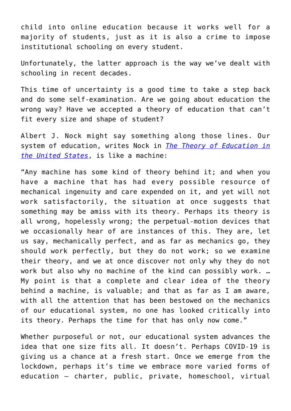child into online education because it works well for a majority of students, just as it is also a crime to impose institutional schooling on every student.

Unfortunately, the latter approach is the way we've dealt with schooling in recent decades.

This time of uncertainty is a good time to take a step back and do some self-examination. Are we going about education the wrong way? Have we accepted a theory of education that can't fit every size and shape of student?

Albert J. Nock might say something along those lines. Our system of education, writes Nock in *[The Theory of Education in](https://www.amazon.com/gp/product/B0052ZAYFO/ref=as_li_qf_asin_il_tl?ie=UTF8&tag=intelltakeo0d-20&creative=9325&linkCode=as2&creativeASIN=B0052ZAYFO&linkId=29fb28be5fec54daf2689bd5a67373f3) [the United States](https://www.amazon.com/gp/product/B0052ZAYFO/ref=as_li_qf_asin_il_tl?ie=UTF8&tag=intelltakeo0d-20&creative=9325&linkCode=as2&creativeASIN=B0052ZAYFO&linkId=29fb28be5fec54daf2689bd5a67373f3)*, is like a machine:

"Any machine has some kind of theory behind it; and when you have a machine that has had every possible resource of mechanical ingenuity and care expended on it, and yet will not work satisfactorily, the situation at once suggests that something may be amiss with its theory. Perhaps its theory is all wrong, hopelessly wrong; the perpetual-motion devices that we occasionally hear of are instances of this. They are, let us say, mechanically perfect, and as far as mechanics go, they should work perfectly, but they do not work; so we examine their theory, and we at once discover not only why they do not work but also why no machine of the kind can possibly work. … My point is that a complete and clear idea of the theory behind a machine, is valuable; and that as far as I am aware, with all the attention that has been bestowed on the mechanics of our educational system, no one has looked critically into its theory. Perhaps the time for that has only now come."

Whether purposeful or not, our educational system advances the idea that one size fits all. It doesn't. Perhaps COVID-19 is giving us a chance at a fresh start. Once we emerge from the lockdown, perhaps it's time we embrace more varied forms of education – charter, public, private, homeschool, virtual